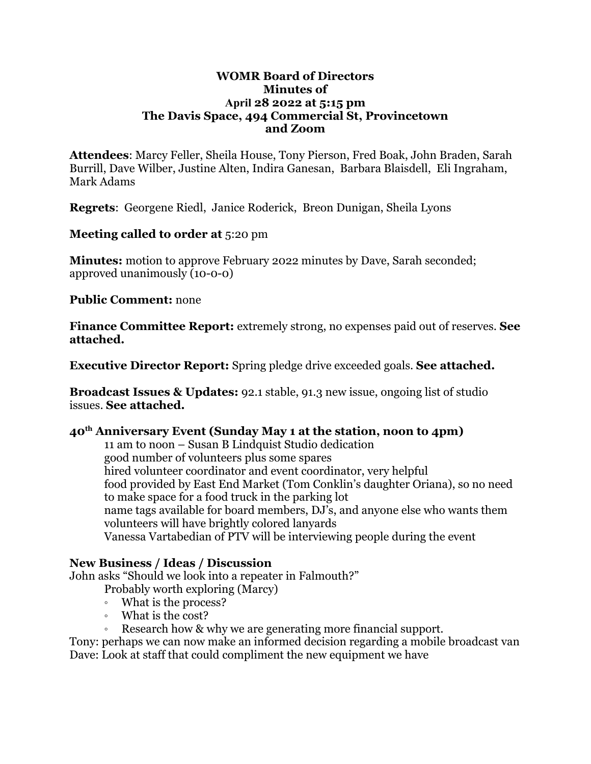### **WOMR Board of Directors Minutes of April 28 2022 at 5:15 pm The Davis Space, 494 Commercial St, Provincetown and Zoom**

**Attendees**: Marcy Feller, Sheila House, Tony Pierson, Fred Boak, John Braden, Sarah Burrill, Dave Wilber, Justine Alten, Indira Ganesan, Barbara Blaisdell, Eli Ingraham, Mark Adams

**Regrets**: Georgene Riedl, Janice Roderick, Breon Dunigan, Sheila Lyons

**Meeting called to order at** 5:20 pm

**Minutes:** motion to approve February 2022 minutes by Dave, Sarah seconded; approved unanimously (10-0-0)

**Public Comment:** none

**Finance Committee Report:** extremely strong, no expenses paid out of reserves. **See attached.**

**Executive Director Report:** Spring pledge drive exceeded goals. **See attached.**

**Broadcast Issues & Updates:** 92.1 stable, 91.3 new issue, ongoing list of studio issues. **See attached.**

### **40th Anniversary Event (Sunday May 1 at the station, noon to 4pm)**

11 am to noon – Susan B Lindquist Studio dedication good number of volunteers plus some spares hired volunteer coordinator and event coordinator, very helpful food provided by East End Market (Tom Conklin's daughter Oriana), so no need to make space for a food truck in the parking lot name tags available for board members, DJ's, and anyone else who wants them volunteers will have brightly colored lanyards Vanessa Vartabedian of PTV will be interviewing people during the event

## **New Business / Ideas / Discussion**

John asks "Should we look into a repeater in Falmouth?"

Probably worth exploring (Marcy)

- What is the process?
- What is the cost?
- Research how & why we are generating more financial support.

Tony: perhaps we can now make an informed decision regarding a mobile broadcast van Dave: Look at staff that could compliment the new equipment we have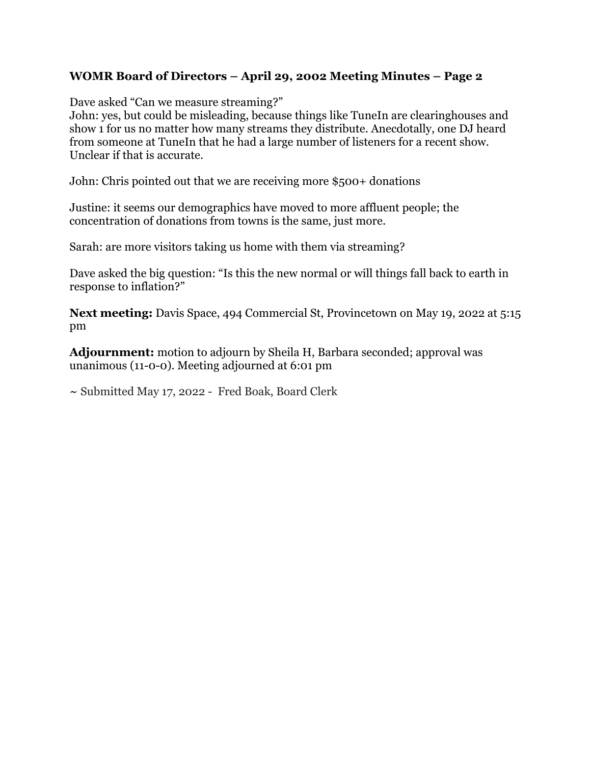## **WOMR Board of Directors – April 29, 2002 Meeting Minutes – Page 2**

Dave asked "Can we measure streaming?"

John: yes, but could be misleading, because things like TuneIn are clearinghouses and show 1 for us no matter how many streams they distribute. Anecdotally, one DJ heard from someone at TuneIn that he had a large number of listeners for a recent show. Unclear if that is accurate.

John: Chris pointed out that we are receiving more \$500+ donations

Justine: it seems our demographics have moved to more affluent people; the concentration of donations from towns is the same, just more.

Sarah: are more visitors taking us home with them via streaming?

Dave asked the big question: "Is this the new normal or will things fall back to earth in response to inflation?"

**Next meeting:** Davis Space, 494 Commercial St, Provincetown on May 19, 2022 at 5:15 pm

**Adjournment:** motion to adjourn by Sheila H, Barbara seconded; approval was unanimous (11-0-0). Meeting adjourned at 6:01 pm

**~** Submitted May 17, 2022 - Fred Boak, Board Clerk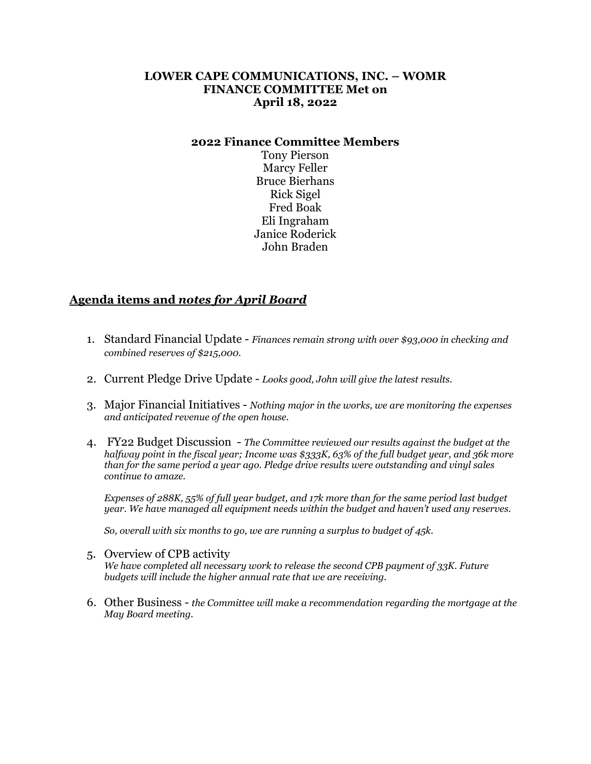### **LOWER CAPE COMMUNICATIONS, INC. – WOMR FINANCE COMMITTEE Met on April 18, 2022**

#### **2022 Finance Committee Members**

Tony Pierson Marcy Feller Bruce Bierhans Rick Sigel Fred Boak Eli Ingraham Janice Roderick John Braden

### **Agenda items and** *notes for April Board*

- 1. Standard Financial Update *Finances remain strong with over \$93,000 in checking and combined reserves of \$215,000.*
- 2. Current Pledge Drive Update *Looks good, John will give the latest results.*
- 3. Major Financial Initiatives *Nothing major in the works, we are monitoring the expenses and anticipated revenue of the open house.*
- 4. FY22 Budget Discussion *The Committee reviewed our results against the budget at the halfway point in the fiscal year; Income was \$333K, 63% of the full budget year, and 36k more than for the same period a year ago. Pledge drive results were outstanding and vinyl sales continue to amaze.*

*Expenses of 288K, 55% of full year budget, and 17k more than for the same period last budget year. We have managed all equipment needs within the budget and haven't used any reserves.*

*So, overall with six months to go, we are running a surplus to budget of 45k.*

- 5. Overview of CPB activity *We have completed all necessary work to release the second CPB payment of 33K. Future budgets will include the higher annual rate that we are receiving.*
- 6. Other Business *the Committee will make a recommendation regarding the mortgage at the May Board meeting.*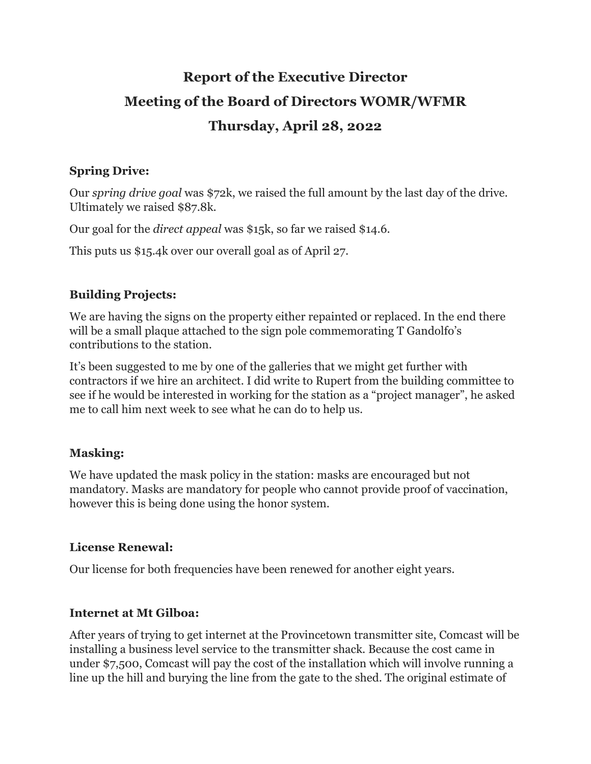# **Report of the Executive Director Meeting of the Board of Directors WOMR/WFMR Thursday, April 28, 2022**

## **Spring Drive:**

Our *spring drive goal* was \$72k, we raised the full amount by the last day of the drive. Ultimately we raised \$87.8k.

Our goal for the *direct appeal* was \$15k, so far we raised \$14.6.

This puts us \$15.4k over our overall goal as of April 27.

## **Building Projects:**

We are having the signs on the property either repainted or replaced. In the end there will be a small plaque attached to the sign pole commemorating T Gandolfo's contributions to the station.

It's been suggested to me by one of the galleries that we might get further with contractors if we hire an architect. I did write to Rupert from the building committee to see if he would be interested in working for the station as a "project manager", he asked me to call him next week to see what he can do to help us.

## **Masking:**

We have updated the mask policy in the station: masks are encouraged but not mandatory. Masks are mandatory for people who cannot provide proof of vaccination, however this is being done using the honor system.

## **License Renewal:**

Our license for both frequencies have been renewed for another eight years.

## **Internet at Mt Gilboa:**

After years of trying to get internet at the Provincetown transmitter site, Comcast will be installing a business level service to the transmitter shack. Because the cost came in under \$7,500, Comcast will pay the cost of the installation which will involve running a line up the hill and burying the line from the gate to the shed. The original estimate of